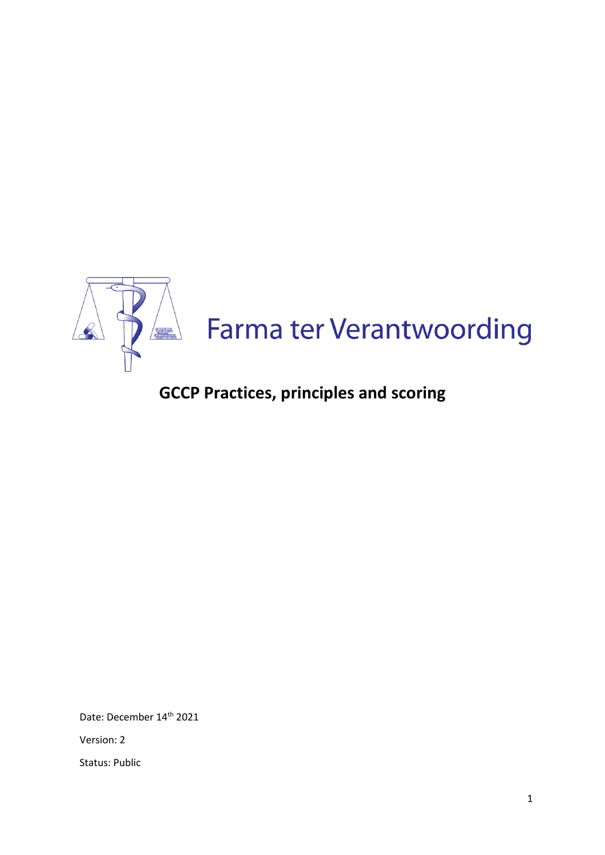

# **GCCP Practices, principles and scoring**

Date: December 14<sup>th</sup> 2021

Version: 2

Status: Public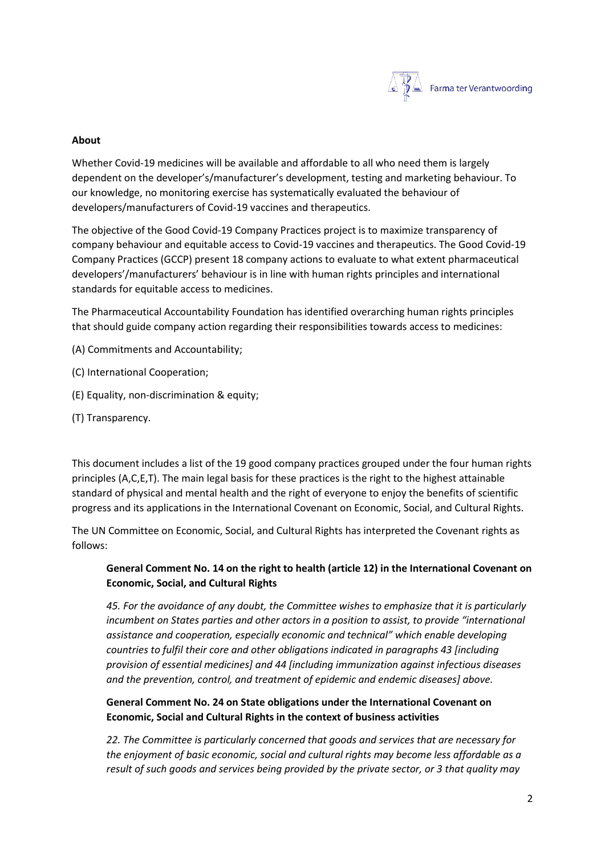

## **About**

Whether Covid-19 medicines will be available and affordable to all who need them is largely dependent on the developer's/manufacturer's development, testing and marketing behaviour. To our knowledge, no monitoring exercise has systematically evaluated the behaviour of developers/manufacturers of Covid-19 vaccines and therapeutics.

The objective of the Good Covid-19 Company Practices project is to maximize transparency of company behaviour and equitable access to Covid-19 vaccines and therapeutics. The Good Covid-19 Company Practices (GCCP) present 18 company actions to evaluate to what extent pharmaceutical developers'/manufacturers' behaviour is in line with human rights principles and international standards for equitable access to medicines.

The Pharmaceutical Accountability Foundation has identified overarching human rights principles that should guide company action regarding their responsibilities towards access to medicines:

- (A) Commitments and Accountability;
- (C) International Cooperation;
- (E) Equality, non-discrimination & equity;
- (T) Transparency.

This document includes a list of the 19 good company practices grouped under the four human rights principles (A,C,E,T). The main legal basis for these practices is the right to the highest attainable standard of physical and mental health and the right of everyone to enjoy the benefits of scientific progress and its applications in the International Covenant on Economic, Social, and Cultural Rights.

The UN Committee on Economic, Social, and Cultural Rights has interpreted the Covenant rights as follows:

# **General Comment No. 14 on the right to health (article 12) in the International Covenant on Economic, Social, and Cultural Rights**

*45. For the avoidance of any doubt, the Committee wishes to emphasize that it is particularly incumbent on States parties and other actors in a position to assist, to provide "international assistance and cooperation, especially economic and technical" which enable developing countries to fulfil their core and other obligations indicated in paragraphs 43 [including provision of essential medicines] and 44 [including immunization against infectious diseases and the prevention, control, and treatment of epidemic and endemic diseases] above.* 

# **General Comment No. 24 on State obligations under the International Covenant on Economic, Social and Cultural Rights in the context of business activities**

*22. The Committee is particularly concerned that goods and services that are necessary for the enjoyment of basic economic, social and cultural rights may become less affordable as a result of such goods and services being provided by the private sector, or 3 that quality may*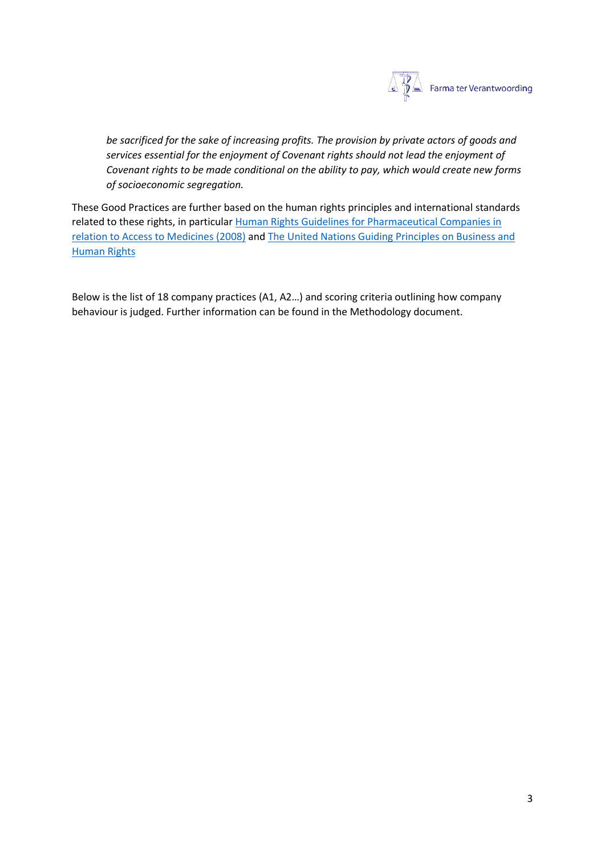

*be sacrificed for the sake of increasing profits. The provision by private actors of goods and services essential for the enjoyment of Covenant rights should not lead the enjoyment of Covenant rights to be made conditional on the ability to pay, which would create new forms of socioeconomic segregation.* 

These Good Practices are further based on the human rights principles and international standards related to these rights, in particula[r Human Rights Guidelines for Pharmaceutical Companies in](https://www.who.int/medicines/areas/human_rights/A63_263.pdf)  [relation to Access to Medicines \(2008\)](https://www.who.int/medicines/areas/human_rights/A63_263.pdf) an[d The United Nations Guiding Principles on Business and](https://www.ohchr.org/en/issues/business/pages/businessindex.aspx)  [Human Rights](https://www.ohchr.org/en/issues/business/pages/businessindex.aspx)

Below is the list of 18 company practices (A1, A2…) and scoring criteria outlining how company behaviour is judged. Further information can be found in the Methodology document.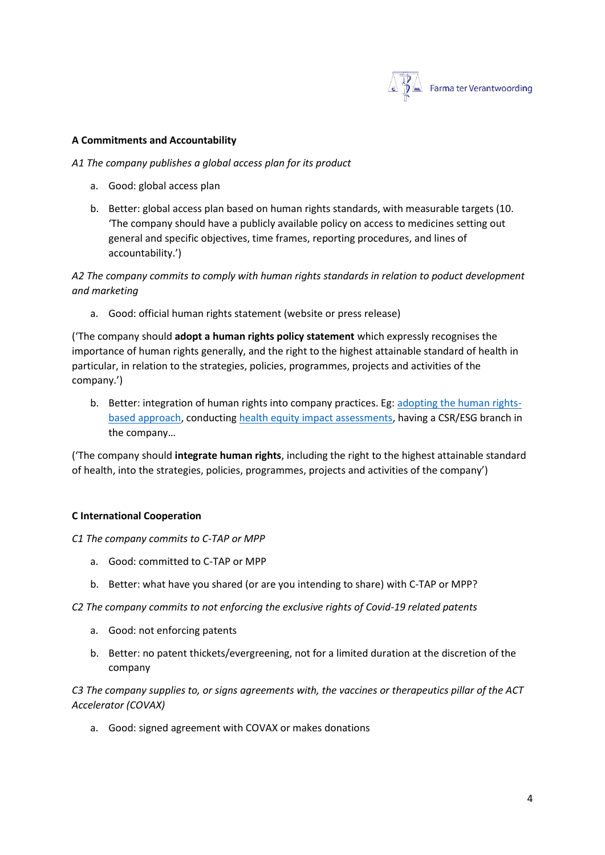

#### **A Commitments and Accountability**

#### *A1 The company publishes a global access plan for its product*

- a. Good: global access plan
- b. Better: global access plan based on human rights standards, with measurable targets (10. 'The company should have a publicly available policy on access to medicines setting out general and specific objectives, time frames, reporting procedures, and lines of accountability.')

*A2 The company commits to comply with human rights standards in relation to poduct development and marketing*

a. Good: official human rights statement (website or press release)

('The company should **adopt a human rights policy statement** which expressly recognises the importance of human rights generally, and the right to the highest attainable standard of health in particular, in relation to the strategies, policies, programmes, projects and activities of the company.')

b. Better: integration of human rights into company practices. Eg: [adopting the human rights](https://www.hhrjournal.org/2013/09/what-is-a-human-rights-based-approach-to-health-and-does-it-matter/#:~:text=Human%20rights%20approaches%20can%20include,of%20the%20right%20to%20health.)[based approach,](https://www.hhrjournal.org/2013/09/what-is-a-human-rights-based-approach-to-health-and-does-it-matter/#:~:text=Human%20rights%20approaches%20can%20include,of%20the%20right%20to%20health.) conducting [health equity impact assessments,](https://www.euro.who.int/en/health-topics/health-determinants/social-determinants/activities/putting-a-social-determinants-of-health-focus-into-public-health/health-equity-impact-assessment#:~:text=It%20is%20used%20to%20assess,%26%20Scott%2DSamuel%202001).) having a CSR/ESG branch in the company…

('The company should **integrate human rights**, including the right to the highest attainable standard of health, into the strategies, policies, programmes, projects and activities of the company')

## **C International Cooperation**

#### *C1 The company commits to C-TAP or MPP*

- a. Good: committed to C-TAP or MPP
- b. Better: what have you shared (or are you intending to share) with C-TAP or MPP?

*C2 The company commits to not enforcing the exclusive rights of Covid-19 related patents* 

- a. Good: not enforcing patents
- b. Better: no patent thickets/evergreening, not for a limited duration at the discretion of the company

*C3 The company supplies to, or signs agreements with, the vaccines or therapeutics pillar of the ACT Accelerator (COVAX)*

a. Good: signed agreement with COVAX or makes donations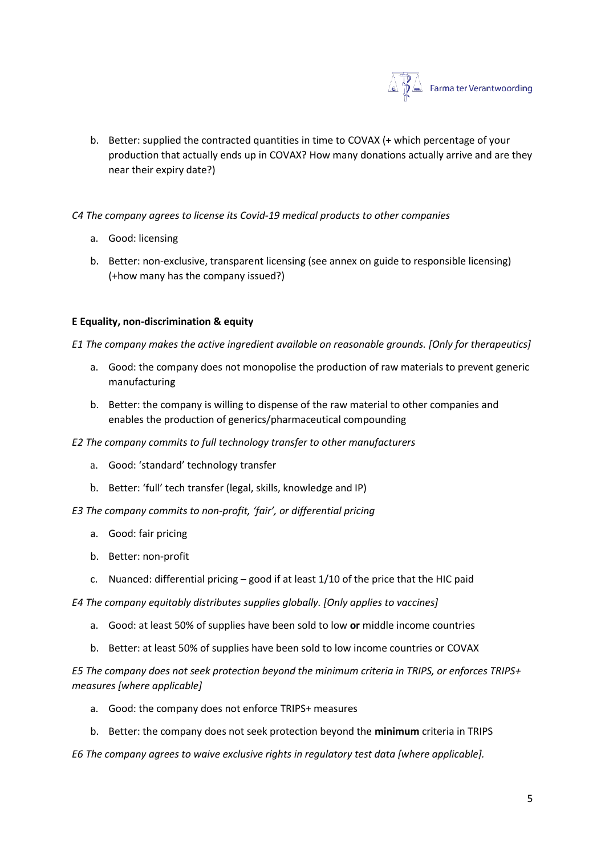

- b. Better: supplied the contracted quantities in time to COVAX (+ which percentage of your production that actually ends up in COVAX? How many donations actually arrive and are they near their expiry date?)
- *C4 The company agrees to license its Covid-19 medical products to other companies* 
	- a. Good: licensing
	- b. Better: non-exclusive, transparent licensing (see annex on guide to responsible licensing) (+how many has the company issued?)

# **E Equality, non-discrimination & equity**

*E1 The company makes the active ingredient available on reasonable grounds. [Only for therapeutics]*

- a. Good: the company does not monopolise the production of raw materials to prevent generic manufacturing
- b. Better: the company is willing to dispense of the raw material to other companies and enables the production of generics/pharmaceutical compounding
- *E2 The company commits to full technology transfer to other manufacturers* 
	- a. Good: 'standard' technology transfer
	- b. Better: 'full' tech transfer (legal, skills, knowledge and IP)
- *E3 The company commits to non-profit, 'fair', or differential pricing*
	- a. Good: fair pricing
	- b. Better: non-profit
	- c. Nuanced: differential pricing good if at least 1/10 of the price that the HIC paid

*E4 The company equitably distributes supplies globally. [Only applies to vaccines]*

- a. Good: at least 50% of supplies have been sold to low **or** middle income countries
- b. Better: at least 50% of supplies have been sold to low income countries or COVAX

*E5 The company does not seek protection beyond the minimum criteria in TRIPS, or enforces TRIPS+ measures [where applicable]*

- a. Good: the company does not enforce TRIPS+ measures
- b. Better: the company does not seek protection beyond the **minimum** criteria in TRIPS

*E6 The company agrees to waive exclusive rights in regulatory test data [where applicable].*